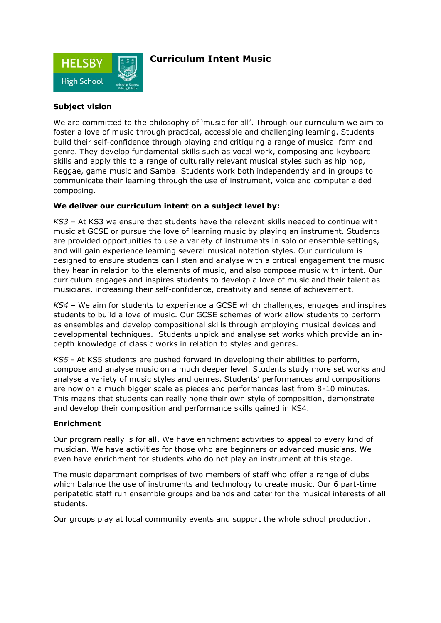

## **Curriculum Intent Music**

## **Subject vision**

We are committed to the philosophy of 'music for all'. Through our curriculum we aim to foster a love of music through practical, accessible and challenging learning. Students build their self-confidence through playing and critiquing a range of musical form and genre. They develop fundamental skills such as vocal work, composing and keyboard skills and apply this to a range of culturally relevant musical styles such as hip hop, Reggae, game music and Samba. Students work both independently and in groups to communicate their learning through the use of instrument, voice and computer aided composing.

## **We deliver our curriculum intent on a subject level by:**

*KS3 –* At KS3 we ensure that students have the relevant skills needed to continue with music at GCSE or pursue the love of learning music by playing an instrument. Students are provided opportunities to use a variety of instruments in solo or ensemble settings, and will gain experience learning several musical notation styles. Our curriculum is designed to ensure students can listen and analyse with a critical engagement the music they hear in relation to the elements of music, and also compose music with intent. Our curriculum engages and inspires students to develop a love of music and their talent as musicians, increasing their self-confidence, creativity and sense of achievement.

*KS4 –* We aim for students to experience a GCSE which challenges, engages and inspires students to build a love of music. Our GCSE schemes of work allow students to perform as ensembles and develop compositional skills through employing musical devices and developmental techniques. Students unpick and analyse set works which provide an indepth knowledge of classic works in relation to styles and genres*.* 

*KS5* - At KS5 students are pushed forward in developing their abilities to perform, compose and analyse music on a much deeper level. Students study more set works and analyse a variety of music styles and genres. Students' performances and compositions are now on a much bigger scale as pieces and performances last from 8-10 minutes. This means that students can really hone their own style of composition, demonstrate and develop their composition and performance skills gained in KS4.

## **Enrichment**

Our program really is for all. We have enrichment activities to appeal to every kind of musician. We have activities for those who are beginners or advanced musicians. We even have enrichment for students who do not play an instrument at this stage.

The music department comprises of two members of staff who offer a range of clubs which balance the use of instruments and technology to create music. Our 6 part-time peripatetic staff run ensemble groups and bands and cater for the musical interests of all students.

Our groups play at local community events and support the whole school production.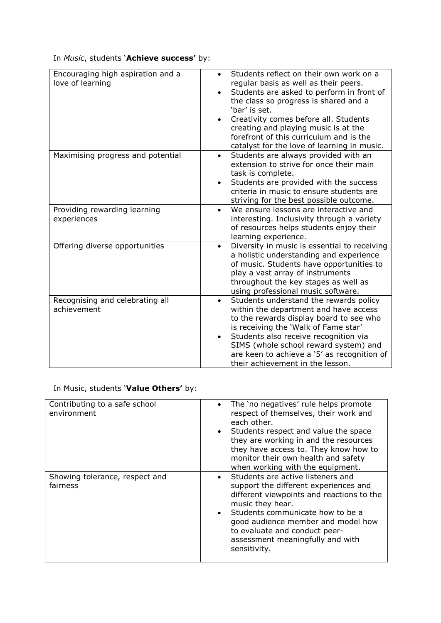In *Music*, students '**Achieve success'** by:

| Encouraging high aspiration and a<br>love of learning | Students reflect on their own work on a<br>regular basis as well as their peers.<br>Students are asked to perform in front of<br>the class so progress is shared and a<br>'bar' is set.<br>Creativity comes before all. Students<br>creating and playing music is at the<br>forefront of this curriculum and is the<br>catalyst for the love of learning in music. |
|-------------------------------------------------------|--------------------------------------------------------------------------------------------------------------------------------------------------------------------------------------------------------------------------------------------------------------------------------------------------------------------------------------------------------------------|
| Maximising progress and potential                     | Students are always provided with an<br>extension to strive for once their main<br>task is complete.<br>Students are provided with the success<br>criteria in music to ensure students are<br>striving for the best possible outcome.                                                                                                                              |
| Providing rewarding learning<br>experiences           | We ensure lessons are interactive and<br>interesting. Inclusivity through a variety<br>of resources helps students enjoy their<br>learning experience.                                                                                                                                                                                                             |
| Offering diverse opportunities                        | Diversity in music is essential to receiving<br>$\bullet$<br>a holistic understanding and experience<br>of music. Students have opportunities to<br>play a vast array of instruments<br>throughout the key stages as well as<br>using professional music software.                                                                                                 |
| Recognising and celebrating all<br>achievement        | Students understand the rewards policy<br>$\bullet$<br>within the department and have access<br>to the rewards display board to see who<br>is receiving the 'Walk of Fame star'<br>Students also receive recognition via<br>SIMS (whole school reward system) and<br>are keen to achieve a '5' as recognition of<br>their achievement in the lesson.               |

In Music, students '**Value Others'** by:

| Contributing to a safe school<br>environment | The 'no negatives' rule helps promote<br>$\bullet$<br>respect of themselves, their work and<br>each other.<br>Students respect and value the space<br>they are working in and the resources<br>they have access to. They know how to<br>monitor their own health and safety<br>when working with the equipment.         |
|----------------------------------------------|-------------------------------------------------------------------------------------------------------------------------------------------------------------------------------------------------------------------------------------------------------------------------------------------------------------------------|
| Showing tolerance, respect and<br>fairness   | Students are active listeners and<br>$\bullet$<br>support the different experiences and<br>different viewpoints and reactions to the<br>music they hear.<br>Students communicate how to be a<br>good audience member and model how<br>to evaluate and conduct peer-<br>assessment meaningfully and with<br>sensitivity. |